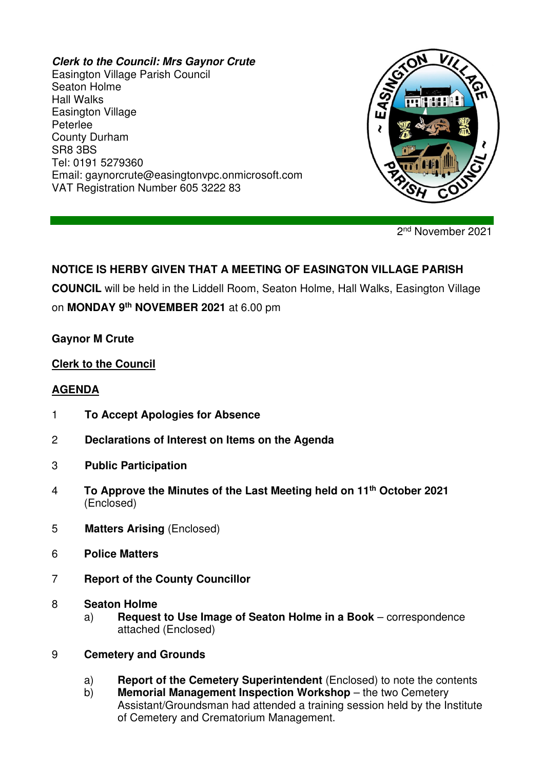#### **Clerk to the Council: Mrs Gaynor Crute**

Easington Village Parish Council Seaton Holme Hall Walks Easington Village Peterlee County Durham SR8 3BS Tel: 0191 5279360 Email: gaynorcrute@easingtonvpc.onmicrosoft.com VAT Registration Number 605 3222 83



2<sup>nd</sup> November 2021

# **NOTICE IS HERBY GIVEN THAT A MEETING OF EASINGTON VILLAGE PARISH**

**COUNCIL** will be held in the Liddell Room, Seaton Holme, Hall Walks, Easington Village

on **MONDAY 9th NOVEMBER 2021** at 6.00 pm

### **Gaynor M Crute**

### **Clerk to the Council**

### **AGENDA**

- 1 **To Accept Apologies for Absence**
- 2 **Declarations of Interest on Items on the Agenda**
- 3 **Public Participation**
- 4 **To Approve the Minutes of the Last Meeting held on 11th October 2021** (Enclosed)
- 5 **Matters Arising** (Enclosed)
- 6 **Police Matters**
- 7 **Report of the County Councillor**
- 8 **Seaton Holme** 
	- a) **Request to Use Image of Seaton Holme in a Book** correspondence attached (Enclosed)
- 9 **Cemetery and Grounds**
	- a) **Report of the Cemetery Superintendent** (Enclosed) to note the contents
	- b) **Memorial Management Inspection Workshop** the two Cemetery Assistant/Groundsman had attended a training session held by the Institute of Cemetery and Crematorium Management.